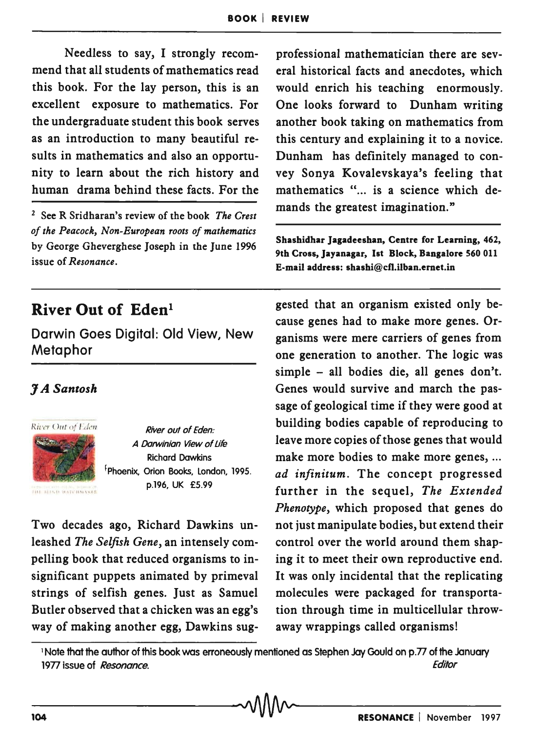Needless to say, I strongly recommend that all students of mathematics read this book. For the lay person, this is an excellent exposure to mathematics. For the undergraduate student this book serves as an introduction to many beautiful results in mathematics and also an opportunity to learn about the rich history and human drama behind these facts. For the

<sup>2</sup> See R Sridharan's review of the book *The Crest of the Peacock, Non-European roots of mathematics*  by George Gheverghese Joseph in the June 1996 issue of *Resonance.* 

## River Out of Eden<sup>l</sup>

Darwin Goes Digital: Old View, New Metaphor

## *JA Santosh*

River Out of Eden River out of Eden: A Darwinian Wew of life Richard Dawkins Phoenix, Orion Books, London, 1995. p.196, UK £5.99 **THE REEGE WATCHMAKED** 

Two decades ago, Richard Dawkins unleashed *The Selfish Gene,* an intensely compelling book that reduced organisms to insignificant puppets animated by primeval strings of selfish genes. Just as Samuel Butler observed that a chicken was an egg's way of making another egg, Dawkins sug-

professional mathematician there are several historical facts and anecdotes, which would enrich his teaching enormously. One looks forward to Dunham writing another book taking on mathematics from this century and explaining it to a novice. Dunham has definitely managed to convey Sonya Kovalevskaya's feeling that mathematics "... is a science which demands the greatest imagination."

Shashidhar Jagadeeshan, Centre for Learning, 462, 9th Cross, Jayanagar, Ist Block, Bangalore 560 011 E-mail address:shashi@cfl.ilban.emet.in

gested that an organism existed only because genes had to make more genes. Organisms were mere carriers of genes from one generation to another. The logic was simple - all bodies die, all genes don't. Genes would survive and march the passage of geological time if they were good at building bodies capable of reproducing to leave more copies of those genes that would make more bodies to make more genes, ... *ad infinitum.* The concept progressed further in the sequel, *The Extended Phenotype,* which proposed that genes do not just manipulate bodies, but extend their control over the world around them shaping it to meet their own reproductive end. It was only incidental that the replicating molecules were packaged for transportation through time in multicellular throwaway wrappings called organisms!

1 Note that the author of this book was erroneously mentioned as Stephen Jay Gould on p.77 of the January 1977 issue of *Resonance*.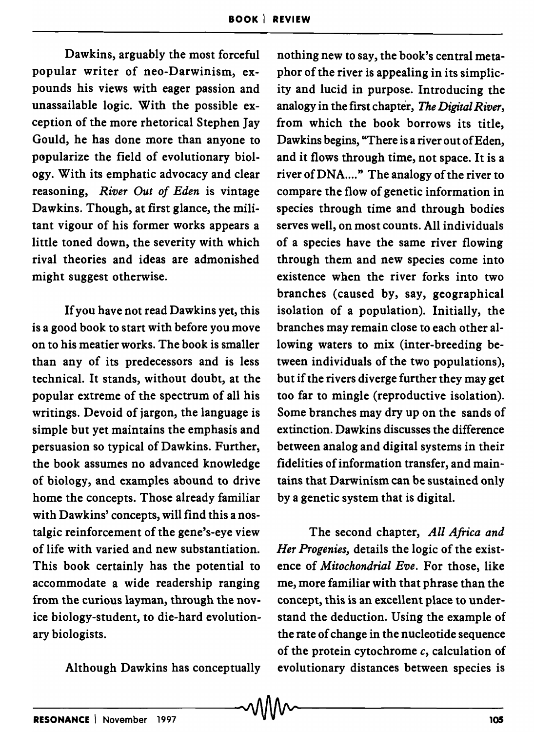Dawkins, arguably the most forceful popular writer of neo-Darwinism, expounds his views with eager passion and unassailable logic. With the possible exception of the more rhetorical Stephen Jay Gould, he has done more than anyone to popularize the field of evolutionary biology. With its emphatic advocacy and clear reasoning, *River Out of Eden* is vintage Dawkins. Though, at first glance, the militant vigour of his former works appears a little toned down, the severity with which rival theories and ideas are admonished might suggest otherwise.

If you have not read Dawkins yet, this is a good book to start with before you move on to his meatier works. The book is smaller than any of its predecessors and is less technical. It stands, without doubt, at the popular extreme of the spectrum of all his writings. Devoid of jargon, the language is simple but yet maintains the emphasis and persuasion so typical of Dawkins. Further, the book assumes no advanced knowledge of biology, and examples abound to drive home the concepts. Those already familiar with Dawkins' concepts, will find this a nostalgic reinforcement of the gene's-eye view of life with varied and new substantiation. This book certainly has the potential to accommodate a wide readership ranging from the curious layman, through the novice biology-student, to die-hard evolutionary biologists.

nothing new to say, the book's central metaphor of the river is appealing in its simplicity and lucid in purpose. Introducing the analogy in the first chapter, *The Digital River,*  from which the book borrows its title, Dawkins begins, "There is a river out of Eden, and it flows through time, not space. It is a river of DNA...." The analogy of the river to compare the flow of genetic information in species through time and through bodies serves well, on most counts. All individuals of a species have the same river flowing through them and new species come into existence when the river forks into two branches (caused by, say, geographical isolation of a population). Initially, the branches may remain close to each other allowing waters to mix (inter-breeding between individuals of the two populations), but if the rivers diverge further they may get too far to mingle (reproductive isolation). Some branches may dry up on the sands of extinction. Dawkins discusses the difference between analog and digital systems in their fidelities of information transfer, and maintains that Darwinism can be sustained only by a genetic system that is digital.

The second chapter, *All Africa and Her Progenies,* details the logic of the existence of *Mitochondrial Eve.* For those, like me, more familiar with that phrase than the concept, this is an excellent place to understand the deduction. Using the example of the rate of change in the nucleotide sequence of the protein cytochrome *c,* calculation of Although Dawkins has conceptually evolutionary distances between species is Although Dawkins has conceptually evolutionary distances between species is<br> $\sim$